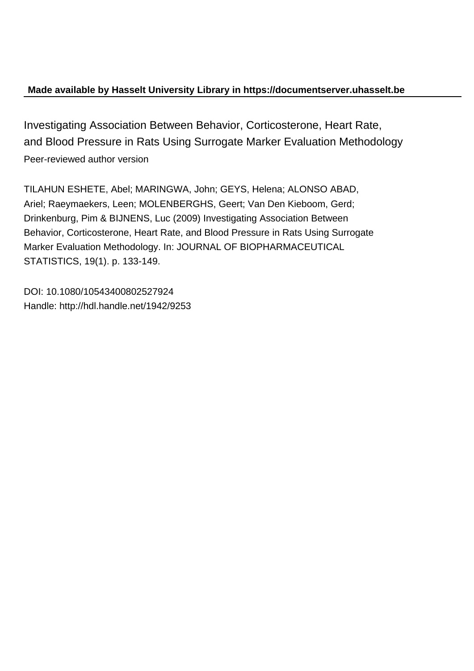# **Made available by Hasselt University Library in https://documentserver.uhasselt.be**

Investigating Association Between Behavior, Corticosterone, Heart Rate, and Blood Pressure in Rats Using Surrogate Marker Evaluation Methodology Peer-reviewed author version

TILAHUN ESHETE, Abel; MARINGWA, John; GEYS, Helena; ALONSO ABAD, Ariel; Raeymaekers, Leen; MOLENBERGHS, Geert; Van Den Kieboom, Gerd; Drinkenburg, Pim & BIJNENS, Luc (2009) Investigating Association Between Behavior, Corticosterone, Heart Rate, and Blood Pressure in Rats Using Surrogate Marker Evaluation Methodology. In: JOURNAL OF BIOPHARMACEUTICAL STATISTICS, 19(1). p. 133-149.

DOI: 10.1080/10543400802527924 Handle: http://hdl.handle.net/1942/9253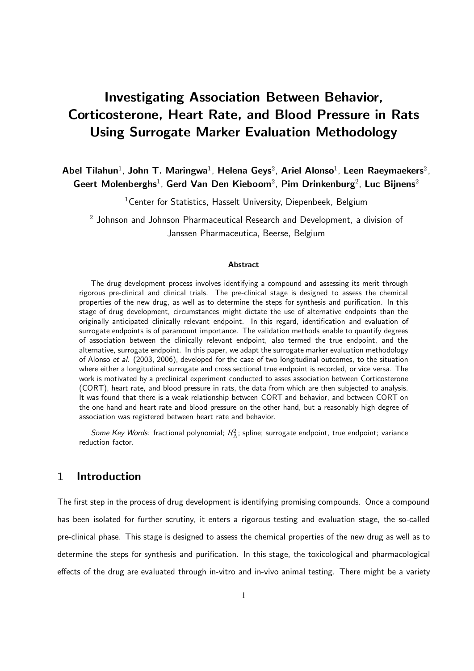# Investigating Association Between Behavior, Corticosterone, Heart Rate, and Blood Pressure in Rats Using Surrogate Marker Evaluation Methodology

# Abel Tilahun<sup>1</sup>, John T. Maringwa<sup>1</sup>, Helena Geys<sup>2</sup>, Ariel Alonso<sup>1</sup>, Leen Raeymaekers<sup>2</sup>, Geert Molenberghs<sup>1</sup>, Gerd Van Den Kieboom<sup>2</sup>, Pim Drinkenburg<sup>2</sup>, Luc Bijnens<sup>2</sup>

<sup>1</sup>Center for Statistics, Hasselt University, Diepenbeek, Belgium

 $^{\rm 2}$  Johnson and Johnson Pharmaceutical Research and Development, a division of Janssen Pharmaceutica, Beerse, Belgium

#### Abstract

The drug development process involves identifying a compound and assessing its merit through rigorous pre-clinical and clinical trials. The pre-clinical stage is designed to assess the chemical properties of the new drug, as well as to determine the steps for synthesis and purification. In this stage of drug development, circumstances might dictate the use of alternative endpoints than the originally anticipated clinically relevant endpoint. In this regard, identification and evaluation of surrogate endpoints is of paramount importance. The validation methods enable to quantify degrees of association between the clinically relevant endpoint, also termed the true endpoint, and the alternative, surrogate endpoint. In this paper, we adapt the surrogate marker evaluation methodology of Alonso et al. (2003, 2006), developed for the case of two longitudinal outcomes, to the situation where either a longitudinal surrogate and cross sectional true endpoint is recorded, or vice versa. The work is motivated by a preclinical experiment conducted to asses association between Corticosterone (CORT), heart rate, and blood pressure in rats, the data from which are then subjected to analysis. It was found that there is a weak relationship between CORT and behavior, and between CORT on the one hand and heart rate and blood pressure on the other hand, but a reasonably high degree of association was registered between heart rate and behavior.

Some Key Words: fractional polynomial;  $R_{\Lambda}^2$ ; spline; surrogate endpoint, true endpoint; variance reduction factor.

# 1 Introduction

The first step in the process of drug development is identifying promising compounds. Once a compound has been isolated for further scrutiny, it enters a rigorous testing and evaluation stage, the so-called pre-clinical phase. This stage is designed to assess the chemical properties of the new drug as well as to determine the steps for synthesis and purification. In this stage, the toxicological and pharmacological effects of the drug are evaluated through in-vitro and in-vivo animal testing. There might be a variety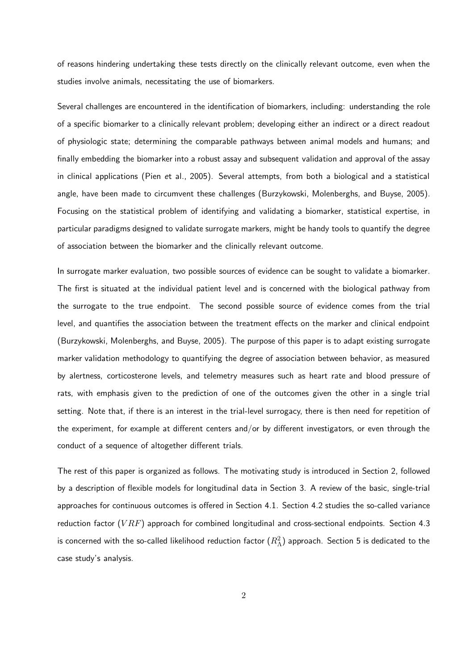of reasons hindering undertaking these tests directly on the clinically relevant outcome, even when the studies involve animals, necessitating the use of biomarkers.

Several challenges are encountered in the identification of biomarkers, including: understanding the role of a specific biomarker to a clinically relevant problem; developing either an indirect or a direct readout of physiologic state; determining the comparable pathways between animal models and humans; and finally embedding the biomarker into a robust assay and subsequent validation and approval of the assay in clinical applications (Pien et al., 2005). Several attempts, from both a biological and a statistical angle, have been made to circumvent these challenges (Burzykowski, Molenberghs, and Buyse, 2005). Focusing on the statistical problem of identifying and validating a biomarker, statistical expertise, in particular paradigms designed to validate surrogate markers, might be handy tools to quantify the degree of association between the biomarker and the clinically relevant outcome.

In surrogate marker evaluation, two possible sources of evidence can be sought to validate a biomarker. The first is situated at the individual patient level and is concerned with the biological pathway from the surrogate to the true endpoint. The second possible source of evidence comes from the trial level, and quantifies the association between the treatment effects on the marker and clinical endpoint (Burzykowski, Molenberghs, and Buyse, 2005). The purpose of this paper is to adapt existing surrogate marker validation methodology to quantifying the degree of association between behavior, as measured by alertness, corticosterone levels, and telemetry measures such as heart rate and blood pressure of rats, with emphasis given to the prediction of one of the outcomes given the other in a single trial setting. Note that, if there is an interest in the trial-level surrogacy, there is then need for repetition of the experiment, for example at different centers and/or by different investigators, or even through the conduct of a sequence of altogether different trials.

The rest of this paper is organized as follows. The motivating study is introduced in Section 2, followed by a description of flexible models for longitudinal data in Section 3. A review of the basic, single-trial approaches for continuous outcomes is offered in Section 4.1. Section 4.2 studies the so-called variance reduction factor  $(VRF)$  approach for combined longitudinal and cross-sectional endpoints. Section 4.3 is concerned with the so-called likelihood reduction factor  $(R_\Lambda^2)$  approach. Section 5 is dedicated to the case study's analysis.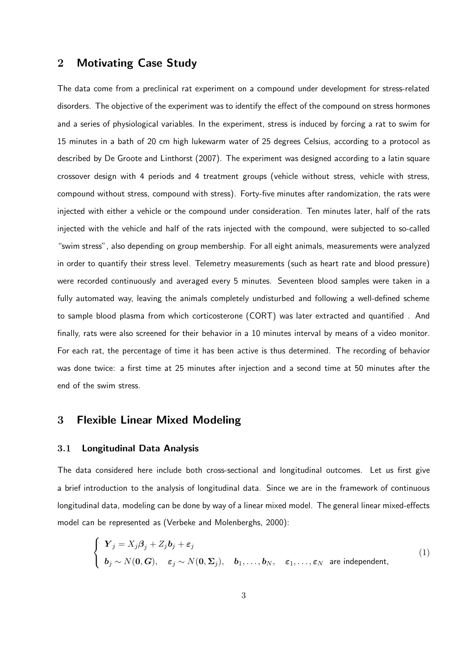# 2 Motivating Case Study

The data come from a preclinical rat experiment on a compound under development for stress-related disorders. The objective of the experiment was to identify the effect of the compound on stress hormones and a series of physiological variables. In the experiment, stress is induced by forcing a rat to swim for 15 minutes in a bath of 20 cm high lukewarm water of 25 degrees Celsius, according to a protocol as described by De Groote and Linthorst (2007). The experiment was designed according to a latin square crossover design with 4 periods and 4 treatment groups (vehicle without stress, vehicle with stress, compound without stress, compound with stress). Forty-five minutes after randomization, the rats were injected with either a vehicle or the compound under consideration. Ten minutes later, half of the rats injected with the vehicle and half of the rats injected with the compound, were subjected to so-called "swim stress", also depending on group membership. For all eight animals, measurements were analyzed in order to quantify their stress level. Telemetry measurements (such as heart rate and blood pressure) were recorded continuously and averaged every 5 minutes. Seventeen blood samples were taken in a fully automated way, leaving the animals completely undisturbed and following a well-defined scheme to sample blood plasma from which corticosterone (CORT) was later extracted and quantified . And finally, rats were also screened for their behavior in a 10 minutes interval by means of a video monitor. For each rat, the percentage of time it has been active is thus determined. The recording of behavior was done twice: a first time at 25 minutes after injection and a second time at 50 minutes after the end of the swim stress.

# 3 Flexible Linear Mixed Modeling

#### 3.1 Longitudinal Data Analysis

The data considered here include both cross-sectional and longitudinal outcomes. Let us first give a brief introduction to the analysis of longitudinal data. Since we are in the framework of continuous longitudinal data, modeling can be done by way of a linear mixed model. The general linear mixed-effects model can be represented as (Verbeke and Molenberghs, 2000):

$$
\begin{cases}\n\boldsymbol{Y}_j = X_j \boldsymbol{\beta}_j + Z_j \boldsymbol{b}_j + \boldsymbol{\varepsilon}_j \\
\boldsymbol{b}_j \sim N(\boldsymbol{0}, \boldsymbol{G}), \quad \boldsymbol{\varepsilon}_j \sim N(\boldsymbol{0}, \boldsymbol{\Sigma}_j), \quad \boldsymbol{b}_1, \ldots, \boldsymbol{b}_N, \quad \boldsymbol{\varepsilon}_1, \ldots, \boldsymbol{\varepsilon}_N \quad \text{are independent,} \n\end{cases} \tag{1}
$$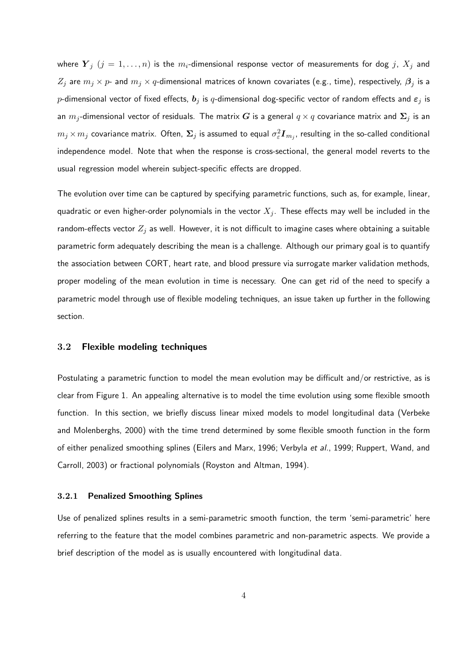where  $\boldsymbol{Y}_j$   $(j = 1, \ldots, n)$  is the  $m_i$ -dimensional response vector of measurements for dog j,  $X_j$  and  $Z_j$  are  $m_j\times p$ - and  $m_j\times q$ -dimensional matrices of known covariates (e.g., time), respectively,  $\bm{\beta}_j$  is a p-dimensional vector of fixed effects,  $b_j$  is q-dimensional dog-specific vector of random effects and  $\varepsilon_j$  is an  $m_j$ -dimensional vector of residuals. The matrix  $G$  is a general  $q \times q$  covariance matrix and  $\Sigma_j$  is an  $m_j\times m_j$  covariance matrix. Often,  $\bm\Sigma_j$  is assumed to equal  $\sigma_\varepsilon^2\bm I_{m_j}$ , resulting in the so-called conditional independence model. Note that when the response is cross-sectional, the general model reverts to the usual regression model wherein subject-specific effects are dropped.

The evolution over time can be captured by specifying parametric functions, such as, for example, linear, quadratic or even higher-order polynomials in the vector  $X_j$ . These effects may well be included in the random-effects vector  $Z_j$  as well. However, it is not difficult to imagine cases where obtaining a suitable parametric form adequately describing the mean is a challenge. Although our primary goal is to quantify the association between CORT, heart rate, and blood pressure via surrogate marker validation methods, proper modeling of the mean evolution in time is necessary. One can get rid of the need to specify a parametric model through use of flexible modeling techniques, an issue taken up further in the following section.

### 3.2 Flexible modeling techniques

Postulating a parametric function to model the mean evolution may be difficult and/or restrictive, as is clear from Figure 1. An appealing alternative is to model the time evolution using some flexible smooth function. In this section, we briefly discuss linear mixed models to model longitudinal data (Verbeke and Molenberghs, 2000) with the time trend determined by some flexible smooth function in the form of either penalized smoothing splines (Eilers and Marx, 1996; Verbyla et al., 1999; Ruppert, Wand, and Carroll, 2003) or fractional polynomials (Royston and Altman, 1994).

#### 3.2.1 Penalized Smoothing Splines

Use of penalized splines results in a semi-parametric smooth function, the term 'semi-parametric' here referring to the feature that the model combines parametric and non-parametric aspects. We provide a brief description of the model as is usually encountered with longitudinal data.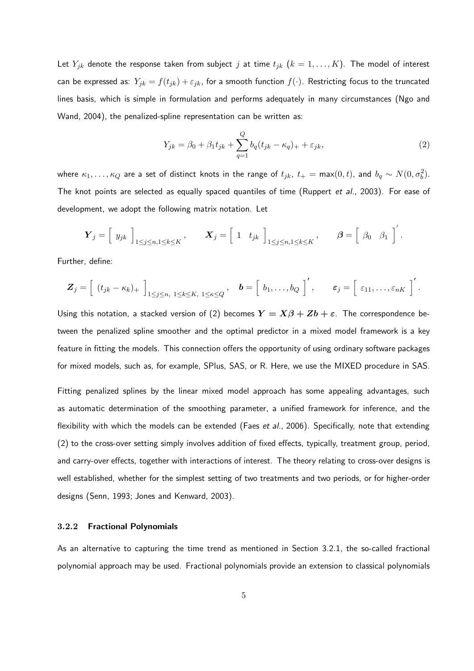Let  $Y_{jk}$  denote the response taken from subject j at time  $t_{jk}$   $(k = 1, \ldots, K)$ . The model of interest can be expressed as:  $Y_{jk} = f(t_{jk}) + \varepsilon_{jk}$ , for a smooth function  $f(\cdot)$ . Restricting focus to the truncated lines basis, which is simple in formulation and performs adequately in many circumstances (Ngo and Wand, 2004), the penalized-spline representation can be written as:

$$
Y_{jk} = \beta_0 + \beta_1 t_{jk} + \sum_{q=1}^{Q} b_q (t_{jk} - \kappa_q)_{+} + \varepsilon_{jk},
$$
\n(2)

where  $\kappa_1,\ldots,\kappa_Q$  are a set of distinct knots in the range of  $t_{jk},\ t_+=\max(0,t)$ , and  $b_q\sim N(0,\sigma_b^2).$ The knot points are selected as equally spaced quantiles of time (Ruppert et al., 2003). For ease of development, we adopt the following matrix notation. Let

$$
\boldsymbol{Y}_j = \left[\begin{array}{c} y_{jk} \end{array}\right]_{1 \leq j \leq n, 1 \leq k \leq K}, \qquad \boldsymbol{X}_j = \left[\begin{array}{cc} 1 & t_{jk} \end{array}\right]_{1 \leq j \leq n, 1 \leq k \leq K}, \qquad \boldsymbol{\beta} = \left[\begin{array}{cc} \beta_0 & \beta_1 \end{array}\right]'.
$$

Further, define:

$$
\mathbf{Z}_j=\left[\begin{array}{c}(t_{jk}-\kappa_k)_+ \end{array}\right]_{1\leq j\leq n,\ 1\leq k\leq K,\ 1\leq\kappa\leq Q},\quad \mathbf{b}=\left[\begin{array}{c}b_1,\ldots,b_Q\end{array}\right]',\qquad \varepsilon_j=\left[\begin{array}{c}\varepsilon_{11},\ldots,\varepsilon_{nK}\end{array}\right]'.
$$

Using this notation, a stacked version of (2) becomes  $Y = X\beta + Zb + \varepsilon$ . The correspondence between the penalized spline smoother and the optimal predictor in a mixed model framework is a key feature in fitting the models. This connection offers the opportunity of using ordinary software packages for mixed models, such as, for example, SPlus, SAS, or R. Here, we use the MIXED procedure in SAS.

Fitting penalized splines by the linear mixed model approach has some appealing advantages, such as automatic determination of the smoothing parameter, a unified framework for inference, and the flexibility with which the models can be extended (Faes et al., 2006). Specifically, note that extending (2) to the cross-over setting simply involves addition of fixed effects, typically, treatment group, period, and carry-over effects, together with interactions of interest. The theory relating to cross-over designs is well established, whether for the simplest setting of two treatments and two periods, or for higher-order designs (Senn, 1993; Jones and Kenward, 2003).

#### 3.2.2 Fractional Polynomials

As an alternative to capturing the time trend as mentioned in Section 3.2.1, the so-called fractional polynomial approach may be used. Fractional polynomials provide an extension to classical polynomials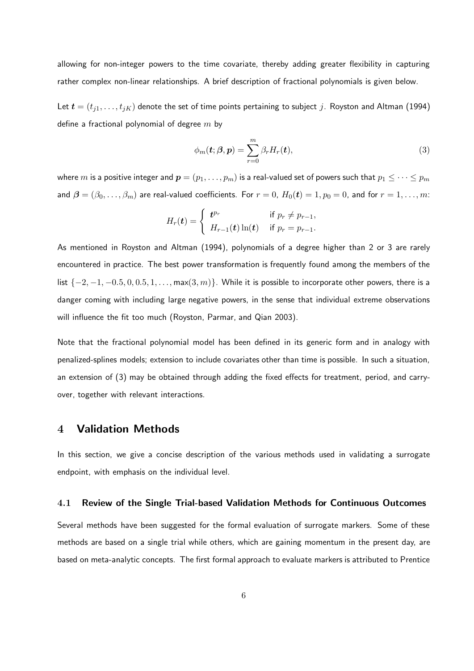allowing for non-integer powers to the time covariate, thereby adding greater flexibility in capturing rather complex non-linear relationships. A brief description of fractional polynomials is given below.

Let  $\boldsymbol{t} = (t_{j1}, \ldots, t_{jK})$  denote the set of time points pertaining to subject  $j$ . Royston and Altman (1994) define a fractional polynomial of degree  $m$  by

$$
\phi_m(\boldsymbol{t}; \boldsymbol{\beta}, \boldsymbol{p}) = \sum_{r=0}^m \beta_r H_r(\boldsymbol{t}), \qquad (3)
$$

where  $m$  is a positive integer and  $\bm{p}=(p_1,\ldots,p_m)$  is a real-valued set of powers such that  $p_1\leq\cdots\leq p_m$ and  $\boldsymbol{\beta} = (\beta_0, \ldots, \beta_m)$  are real-valued coefficients. For  $r = 0$ ,  $H_0(\boldsymbol{t}) = 1, p_0 = 0$ , and for  $r = 1, \ldots, m$ :

$$
H_r(\boldsymbol{t}) = \begin{cases} t^{p_r} & \text{if } p_r \neq p_{r-1}, \\ H_{r-1}(\boldsymbol{t}) \ln(\boldsymbol{t}) & \text{if } p_r = p_{r-1}. \end{cases}
$$

As mentioned in Royston and Altman (1994), polynomials of a degree higher than 2 or 3 are rarely encountered in practice. The best power transformation is frequently found among the members of the list  $\{-2, -1, -0.5, 0, 0.5, 1, \ldots, \max(3, m)\}\)$ . While it is possible to incorporate other powers, there is a danger coming with including large negative powers, in the sense that individual extreme observations will influence the fit too much (Royston, Parmar, and Qian 2003).

Note that the fractional polynomial model has been defined in its generic form and in analogy with penalized-splines models; extension to include covariates other than time is possible. In such a situation, an extension of (3) may be obtained through adding the fixed effects for treatment, period, and carryover, together with relevant interactions.

### 4 Validation Methods

In this section, we give a concise description of the various methods used in validating a surrogate endpoint, with emphasis on the individual level.

#### 4.1 Review of the Single Trial-based Validation Methods for Continuous Outcomes

Several methods have been suggested for the formal evaluation of surrogate markers. Some of these methods are based on a single trial while others, which are gaining momentum in the present day, are based on meta-analytic concepts. The first formal approach to evaluate markers is attributed to Prentice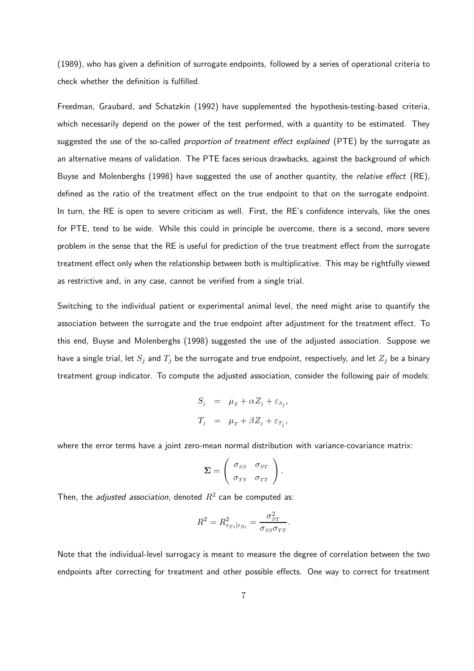(1989), who has given a definition of surrogate endpoints, followed by a series of operational criteria to check whether the definition is fulfilled.

Freedman, Graubard, and Schatzkin (1992) have supplemented the hypothesis-testing-based criteria, which necessarily depend on the power of the test performed, with a quantity to be estimated. They suggested the use of the so-called *proportion of treatment effect explained* (PTE) by the surrogate as an alternative means of validation. The PTE faces serious drawbacks, against the background of which Buyse and Molenberghs (1998) have suggested the use of another quantity, the relative effect (RE), defined as the ratio of the treatment effect on the true endpoint to that on the surrogate endpoint. In turn, the RE is open to severe criticism as well. First, the RE's confidence intervals, like the ones for PTE, tend to be wide. While this could in principle be overcome, there is a second, more severe problem in the sense that the RE is useful for prediction of the true treatment effect from the surrogate treatment effect only when the relationship between both is multiplicative. This may be rightfully viewed as restrictive and, in any case, cannot be verified from a single trial.

Switching to the individual patient or experimental animal level, the need might arise to quantify the association between the surrogate and the true endpoint after adjustment for the treatment effect. To this end, Buyse and Molenberghs (1998) suggested the use of the adjusted association. Suppose we have a single trial, let  $S_j$  and  $T_j$  be the surrogate and true endpoint, respectively, and let  $Z_j$  be a binary treatment group indicator. To compute the adjusted association, consider the following pair of models:

$$
S_j = \mu_S + \alpha Z_j + \varepsilon_{S_j},
$$
  

$$
T_j = \mu_T + \beta Z_j + \varepsilon_{T_j},
$$

where the error terms have a joint zero-mean normal distribution with variance-covariance matrix:

$$
\mathbf{\Sigma} = \left( \begin{array}{cc} \sigma_{SS} & \sigma_{ST} \\ \sigma_{TS} & \sigma_{TT} \end{array} \right).
$$

Then, the adjusted association, denoted  $R^2$  can be computed as:

$$
R^2 = R^2_{\varepsilon_{Ti}|\varepsilon_{Si}} = \frac{\sigma_{ST}^2}{\sigma_{SS}\sigma_{TT}}.
$$

Note that the individual-level surrogacy is meant to measure the degree of correlation between the two endpoints after correcting for treatment and other possible effects. One way to correct for treatment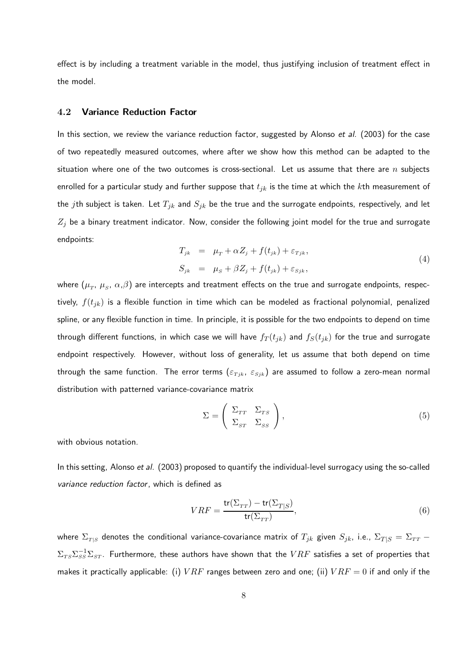effect is by including a treatment variable in the model, thus justifying inclusion of treatment effect in the model.

#### 4.2 Variance Reduction Factor

In this section, we review the variance reduction factor, suggested by Alonso *et al.* (2003) for the case of two repeatedly measured outcomes, where after we show how this method can be adapted to the situation where one of the two outcomes is cross-sectional. Let us assume that there are  $n$  subjects enrolled for a particular study and further suppose that  $t_{jk}$  is the time at which the kth measurement of the jth subject is taken. Let  $T_{jk}$  and  $S_{jk}$  be the true and the surrogate endpoints, respectively, and let  $Z_i$  be a binary treatment indicator. Now, consider the following joint model for the true and surrogate endpoints:

$$
T_{jk} = \mu_T + \alpha Z_j + f(t_{jk}) + \varepsilon_{Tjk},
$$
  
\n
$$
S_{jk} = \mu_S + \beta Z_j + f(t_{jk}) + \varepsilon_{Sjk},
$$
\n(4)

where  $(\mu_T^{},\,\mu_S^{},\,\alpha,\beta)$  are intercepts and treatment effects on the true and surrogate endpoints, respectively,  $f(t_{jk})$  is a flexible function in time which can be modeled as fractional polynomial, penalized spline, or any flexible function in time. In principle, it is possible for the two endpoints to depend on time through different functions, in which case we will have  $f_T(t_{jk})$  and  $f_S(t_{jk})$  for the true and surrogate endpoint respectively. However, without loss of generality, let us assume that both depend on time through the same function. The error terms  $(\varepsilon_{Tjk}, \varepsilon_{Sjk})$  are assumed to follow a zero-mean normal distribution with patterned variance-covariance matrix

$$
\Sigma = \begin{pmatrix} \Sigma_{TT} & \Sigma_{TS} \\ \Sigma_{ST} & \Sigma_{SS} \end{pmatrix},
$$
\n(5)

with obvious notation.

In this setting, Alonso et al. (2003) proposed to quantify the individual-level surrogacy using the so-called variance reduction factor, which is defined as

$$
VRF = \frac{\text{tr}(\Sigma_{TT}) - \text{tr}(\Sigma_{T|S})}{\text{tr}(\Sigma_{TT})},\tag{6}
$$

where  $\Sigma_{T|S}$  denotes the conditional variance-covariance matrix of  $T_{jk}$  given  $S_{jk}$ , i.e.,  $\Sigma_{T|S} = \Sigma_{TT}$  –  $\Sigma_{TS} \Sigma_{SS}^{-1} \Sigma_{ST}$ . Furthermore, these authors have shown that the  $VRF$  satisfies a set of properties that makes it practically applicable: (i)  $VRF$  ranges between zero and one; (ii)  $VRF = 0$  if and only if the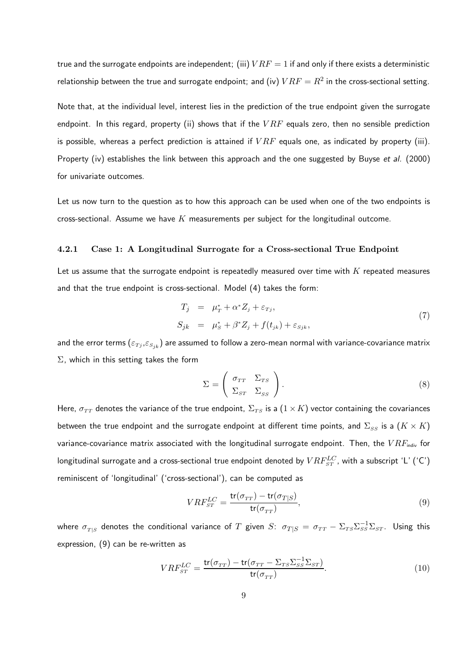true and the surrogate endpoints are independent; (iii)  $VRF = 1$  if and only if there exists a deterministic relationship between the true and surrogate endpoint; and (iv)  $V R F = R^2$  in the cross-sectional setting.

Note that, at the individual level, interest lies in the prediction of the true endpoint given the surrogate endpoint. In this regard, property (ii) shows that if the  $VRF$  equals zero, then no sensible prediction is possible, whereas a perfect prediction is attained if  $VRF$  equals one, as indicated by property (iii). Property (iv) establishes the link between this approach and the one suggested by Buyse et al. (2000) for univariate outcomes.

Let us now turn to the question as to how this approach can be used when one of the two endpoints is cross-sectional. Assume we have  $K$  measurements per subject for the longitudinal outcome.

### 4.2.1 Case 1: A Longitudinal Surrogate for a Cross-sectional True Endpoint

Let us assume that the surrogate endpoint is repeatedly measured over time with  $K$  repeated measures and that the true endpoint is cross-sectional. Model (4) takes the form:

$$
T_j = \mu_T^* + \alpha^* Z_j + \varepsilon_{T_j},
$$
  
\n
$$
S_{jk} = \mu_S^* + \beta^* Z_j + f(t_{jk}) + \varepsilon_{Sjk},
$$
\n(7)

and the error terms  $(\varepsilon_{Tj}, \varepsilon_{S_{jk}})$  are assumed to follow a zero-mean normal with variance-covariance matrix  $\Sigma$ , which in this setting takes the form

$$
\Sigma = \begin{pmatrix} \sigma_{TT} & \Sigma_{TS} \\ \Sigma_{ST} & \Sigma_{SS} \end{pmatrix} . \tag{8}
$$

Here,  $\sigma_{TT}$  denotes the variance of the true endpoint,  $\Sigma_{TS}$  is a  $(1 \times K)$  vector containing the covariances between the true endpoint and the surrogate endpoint at different time points, and  $\Sigma_{SS}$  is a  $(K \times K)$ variance-covariance matrix associated with the longitudinal surrogate endpoint. Then, the  $VRF<sub>indiv</sub>$  for longitudinal surrogate and a cross-sectional true endpoint denoted by  $VRF^{LC}_{ST}$ , with a subscript 'L' ('C') reminiscent of 'longitudinal' ('cross-sectional'), can be computed as

$$
VRF_{ST}^{LC} = \frac{\text{tr}(\sigma_{TT}) - \text{tr}(\sigma_{T|S})}{\text{tr}(\sigma_{TT})},
$$
\n(9)

where  $\sigma_{T|S}$  denotes the conditional variance of  $T$  given  $S\colon\,\sigma_{T|S}=\sigma_{TT}-\Sigma_{TS}\Sigma_{SS}^{-1}\Sigma_{ST}.$  Using this expression, (9) can be re-written as

$$
VRF_{ST}^{LC} = \frac{\text{tr}(\sigma_{TT}) - \text{tr}(\sigma_{TT} - \Sigma_{TS}\Sigma_{SS}^{-1}\Sigma_{ST})}{\text{tr}(\sigma_{TT})}.
$$
\n(10)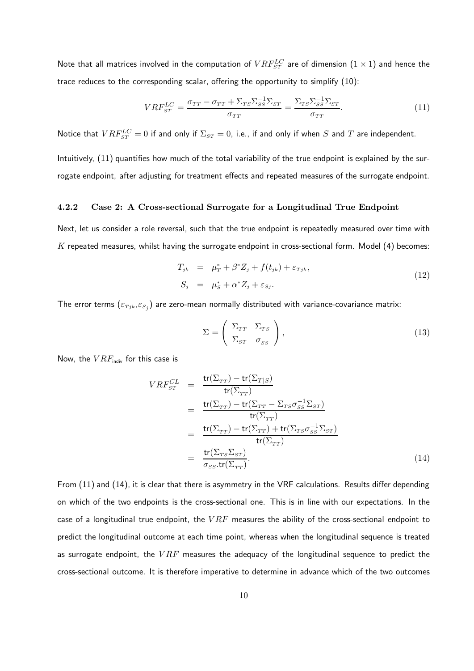Note that all matrices involved in the computation of  $VRF^{LC}_{ST}$  are of dimension  $(1\times1)$  and hence the trace reduces to the corresponding scalar, offering the opportunity to simplify (10):

$$
VRF_{ST}^{LC} = \frac{\sigma_{TT} - \sigma_{TT} + \Sigma_{TS}\Sigma_{SS}^{-1}\Sigma_{ST}}{\sigma_{TT}} = \frac{\Sigma_{TS}\Sigma_{SS}^{-1}\Sigma_{ST}}{\sigma_{TT}}.
$$
\n(11)

Notice that  $VRF^{LC}_{ST}=0$  if and only if  $\Sigma_{ST}=0$ , i.e., if and only if when  $S$  and  $T$  are independent.

Intuitively, (11) quantifies how much of the total variability of the true endpoint is explained by the surrogate endpoint, after adjusting for treatment effects and repeated measures of the surrogate endpoint.

#### 4.2.2 Case 2: A Cross-sectional Surrogate for a Longitudinal True Endpoint

Next, let us consider a role reversal, such that the true endpoint is repeatedly measured over time with  $K$  repeated measures, whilst having the surrogate endpoint in cross-sectional form. Model (4) becomes:

$$
T_{jk} = \mu_T^* + \beta^* Z_j + f(t_{jk}) + \varepsilon_{Tjk},
$$
  
\n
$$
S_j = \mu_S^* + \alpha^* Z_j + \varepsilon_{Sj}.
$$
\n(12)

The error terms  $(\varepsilon_{Tjk},\varepsilon_{S_j})$  are zero-mean normally distributed with variance-covariance matrix:

$$
\Sigma = \begin{pmatrix} \Sigma_{TT} & \Sigma_{TS} \\ \Sigma_{ST} & \sigma_{SS} \end{pmatrix},
$$
\n(13)

Now, the  $VRF_{\text{indiv}}$  for this case is

$$
VRF_{ST}^{CL} = \frac{\text{tr}(\Sigma_{TT}) - \text{tr}(\Sigma_{T|S})}{\text{tr}(\Sigma_{TT})}
$$
  
\n
$$
= \frac{\text{tr}(\Sigma_{TT}) - \text{tr}(\Sigma_{TT} - \Sigma_{TS}\sigma_{SS}^{-1}\Sigma_{ST})}{\text{tr}(\Sigma_{TT})}
$$
  
\n
$$
= \frac{\text{tr}(\Sigma_{TT}) - \text{tr}(\Sigma_{TT}) + \text{tr}(\Sigma_{TS}\sigma_{SS}^{-1}\Sigma_{ST})}{\text{tr}(\Sigma_{TT})}
$$
  
\n
$$
= \frac{\text{tr}(\Sigma_{TS}\Sigma_{ST})}{\sigma_{SS}.\text{tr}(\Sigma_{TT})}. \tag{14}
$$

From (11) and (14), it is clear that there is asymmetry in the VRF calculations. Results differ depending on which of the two endpoints is the cross-sectional one. This is in line with our expectations. In the case of a longitudinal true endpoint, the  $VRF$  measures the ability of the cross-sectional endpoint to predict the longitudinal outcome at each time point, whereas when the longitudinal sequence is treated as surrogate endpoint, the  $VRF$  measures the adequacy of the longitudinal sequence to predict the cross-sectional outcome. It is therefore imperative to determine in advance which of the two outcomes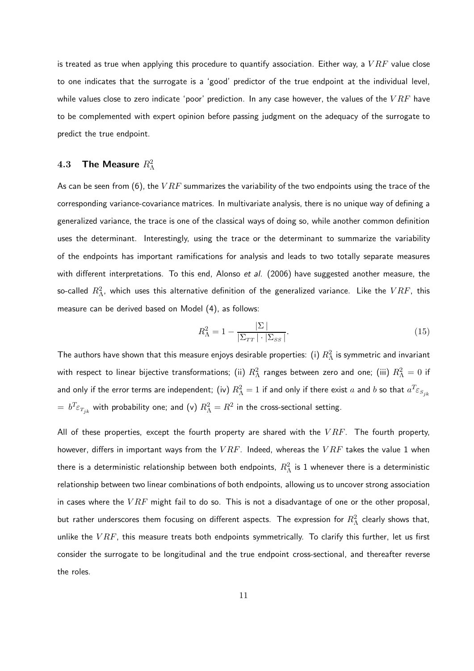is treated as true when applying this procedure to quantify association. Either way, a  $VRF$  value close to one indicates that the surrogate is a 'good' predictor of the true endpoint at the individual level, while values close to zero indicate 'poor' prediction. In any case however, the values of the  $VRF$  have to be complemented with expert opinion before passing judgment on the adequacy of the surrogate to predict the true endpoint.

# 4.3 The Measure  $R^2_\Lambda$

As can be seen from (6), the  $VRF$  summarizes the variability of the two endpoints using the trace of the corresponding variance-covariance matrices. In multivariate analysis, there is no unique way of defining a generalized variance, the trace is one of the classical ways of doing so, while another common definition uses the determinant. Interestingly, using the trace or the determinant to summarize the variability of the endpoints has important ramifications for analysis and leads to two totally separate measures with different interpretations. To this end, Alonso et al.  $(2006)$  have suggested another measure, the so-called  $R_{\Lambda}^2$ , which uses this alternative definition of the generalized variance. Like the  $VRF$ , this measure can be derived based on Model (4), as follows:

$$
R_{\Lambda}^{2} = 1 - \frac{\left|\Sigma\right|}{\left|\Sigma_{TT}\right| \cdot \left|\Sigma_{SS}\right|}. \tag{15}
$$

The authors have shown that this measure enjoys desirable properties: <code>(i)</code>  $R_\Lambda^2$  is symmetric and invariant with respect to linear bijective transformations; (ii)  $R_\Lambda^2$  ranges between zero and one; (iii)  $R_\Lambda^2=0$  if and only if the error terms are independent; (iv)  $R_\Lambda^2=1$  if and only if there exist  $a$  and  $b$  so that  $a^T\varepsilon_{S_{jk}}$  $\bar{p}_j=b^T\varepsilon_{T_{jk}}$  with probability one; and (v)  $R_\Lambda^2=R^2$  in the cross-sectional setting.

All of these properties, except the fourth property are shared with the  $VRF$ . The fourth property, however, differs in important ways from the  $VRF$ . Indeed, whereas the  $VRF$  takes the value 1 when there is a deterministic relationship between both endpoints,  $R_{\Lambda}^2$  is 1 whenever there is a deterministic relationship between two linear combinations of both endpoints, allowing us to uncover strong association in cases where the  $VRF$  might fail to do so. This is not a disadvantage of one or the other proposal, but rather underscores them focusing on different aspects. The expression for  $R_{\Lambda}^2$  clearly shows that, unlike the  $VRF$ , this measure treats both endpoints symmetrically. To clarify this further, let us first consider the surrogate to be longitudinal and the true endpoint cross-sectional, and thereafter reverse the roles.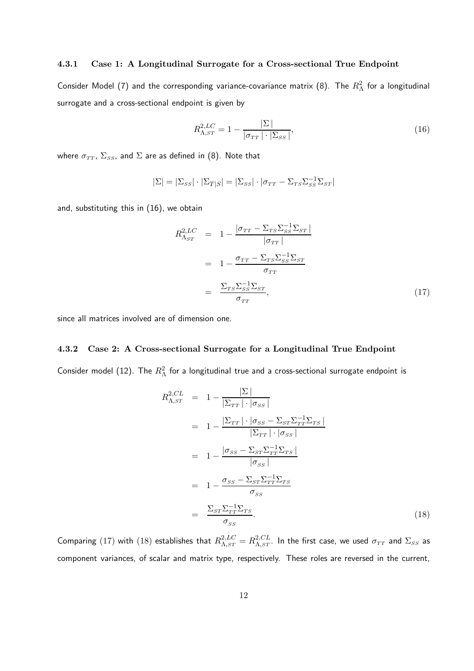#### 4.3.1 Case 1: A Longitudinal Surrogate for a Cross-sectional True Endpoint

Consider Model (7) and the corresponding variance-covariance matrix (8). The  $R_\Lambda^2$  for a longitudinal surrogate and a cross-sectional endpoint is given by

$$
R_{\Lambda,ST}^{2,LC} = 1 - \frac{|\Sigma|}{|\sigma_{TT}| \cdot |\Sigma_{SS}|},\tag{16}
$$

where  $\sigma_{TT}$ ,  $\Sigma_{SS}$ , and  $\Sigma$  are as defined in (8). Note that

$$
|\Sigma| = |\Sigma_{SS}| \cdot |\Sigma_{T|S}| = |\Sigma_{SS}| \cdot |\sigma_{TT} - \Sigma_{TS} \Sigma_{SS}^{-1} \Sigma_{ST}|
$$

and, substituting this in (16), we obtain

$$
R_{\Lambda_{ST}}^{2,LC} = 1 - \frac{|\sigma_{TT} - \Sigma_{TS}\Sigma_{SS}^{-1}\Sigma_{ST}|}{|\sigma_{TT}|}
$$
  
= 
$$
1 - \frac{\sigma_{TT} - \Sigma_{TS}\Sigma_{SS}^{-1}\Sigma_{ST}}{\sigma_{TT}}
$$
  
= 
$$
\frac{\Sigma_{TS}\Sigma_{SS}^{-1}\Sigma_{ST}}{\sigma_{TT}},
$$
 (17)

since all matrices involved are of dimension one.

#### 4.3.2 Case 2: A Cross-sectional Surrogate for a Longitudinal True Endpoint

Consider model (12). The  $R_\Lambda^2$  for a longitudinal true and a cross-sectional surrogate endpoint is

$$
R_{\Lambda,ST}^{2,CL} = 1 - \frac{|\Sigma|}{|\Sigma_{TT}| \cdot |\sigma_{SS}|}
$$
  
\n
$$
= 1 - \frac{|\Sigma_{TT}| \cdot |\sigma_{SS} - \Sigma_{ST} \Sigma_{TT}^{-1} \Sigma_{TS}|}{|\Sigma_{TT}| \cdot |\sigma_{SS}|}
$$
  
\n
$$
= 1 - \frac{|\sigma_{SS} - \Sigma_{ST} \Sigma_{TT}^{-1} \Sigma_{TS}|}{|\sigma_{SS}|}
$$
  
\n
$$
= 1 - \frac{\sigma_{SS} - \Sigma_{ST} \Sigma_{TT}^{-1} \Sigma_{TS}}{\sigma_{SS}}
$$
  
\n
$$
= \frac{\Sigma_{ST} \Sigma_{TT}^{-1} \Sigma_{TS}}{\sigma_{SS}}.
$$
\n(18)

Comparing (17) with (18) establishes that  $R_{\Lambda,ST}^{2,LC}=R_{\Lambda,ST}^{2,CL}$ . In the first case, we used  $\sigma_{TT}$  and  $\Sigma_{SS}$  as component variances, of scalar and matrix type, respectively. These roles are reversed in the current,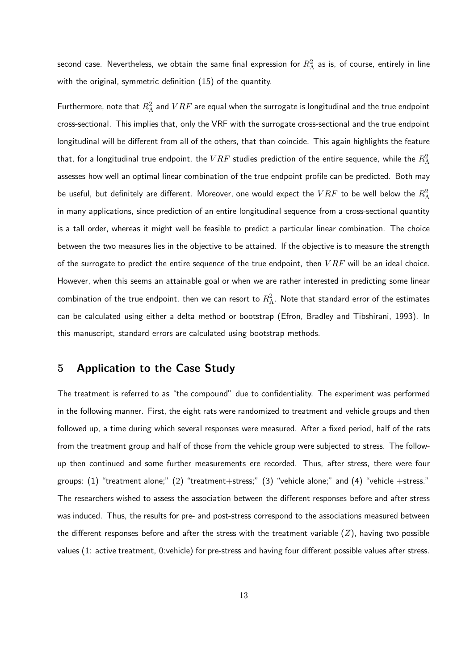second case. Nevertheless, we obtain the same final expression for  $R_{\Lambda}^2$  as is, of course, entirely in line with the original, symmetric definition (15) of the quantity.

Furthermore, note that  $R_{\Lambda}^2$  and  $VRF$  are equal when the surrogate is longitudinal and the true endpoint cross-sectional. This implies that, only the VRF with the surrogate cross-sectional and the true endpoint longitudinal will be different from all of the others, that than coincide. This again highlights the feature that, for a longitudinal true endpoint, the  $VRF$  studies prediction of the entire sequence, while the  $R_{\Lambda}^2$ assesses how well an optimal linear combination of the true endpoint profile can be predicted. Both may be useful, but definitely are different. Moreover, one would expect the  $VRF$  to be well below the  $R_{\Lambda}^2$ in many applications, since prediction of an entire longitudinal sequence from a cross-sectional quantity is a tall order, whereas it might well be feasible to predict a particular linear combination. The choice between the two measures lies in the objective to be attained. If the objective is to measure the strength of the surrogate to predict the entire sequence of the true endpoint, then  $VRF$  will be an ideal choice. However, when this seems an attainable goal or when we are rather interested in predicting some linear combination of the true endpoint, then we can resort to  $R_{\Lambda}^2.$  Note that standard error of the estimates can be calculated using either a delta method or bootstrap (Efron, Bradley and Tibshirani, 1993). In this manuscript, standard errors are calculated using bootstrap methods.

# 5 Application to the Case Study

The treatment is referred to as "the compound" due to confidentiality. The experiment was performed in the following manner. First, the eight rats were randomized to treatment and vehicle groups and then followed up, a time during which several responses were measured. After a fixed period, half of the rats from the treatment group and half of those from the vehicle group were subjected to stress. The followup then continued and some further measurements ere recorded. Thus, after stress, there were four groups:  $(1)$  "treatment alone;"  $(2)$  "treatment+stress;"  $(3)$  "vehicle alone;" and  $(4)$  "vehicle +stress." The researchers wished to assess the association between the different responses before and after stress was induced. Thus, the results for pre- and post-stress correspond to the associations measured between the different responses before and after the stress with the treatment variable  $(Z)$ , having two possible values (1: active treatment, 0:vehicle) for pre-stress and having four different possible values after stress.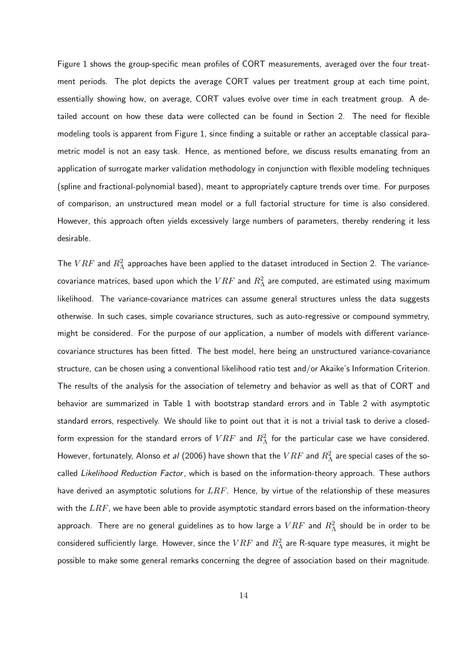Figure 1 shows the group-specific mean profiles of CORT measurements, averaged over the four treatment periods. The plot depicts the average CORT values per treatment group at each time point, essentially showing how, on average, CORT values evolve over time in each treatment group. A detailed account on how these data were collected can be found in Section 2. The need for flexible modeling tools is apparent from Figure 1, since finding a suitable or rather an acceptable classical parametric model is not an easy task. Hence, as mentioned before, we discuss results emanating from an application of surrogate marker validation methodology in conjunction with flexible modeling techniques (spline and fractional-polynomial based), meant to appropriately capture trends over time. For purposes of comparison, an unstructured mean model or a full factorial structure for time is also considered. However, this approach often yields excessively large numbers of parameters, thereby rendering it less desirable.

The  $V R F$  and  $R_{\Lambda}^2$  approaches have been applied to the dataset introduced in Section 2. The variancecovariance matrices, based upon which the  $VRF$  and  $R_{\Lambda}^2$  are computed, are estimated using maximum likelihood. The variance-covariance matrices can assume general structures unless the data suggests otherwise. In such cases, simple covariance structures, such as auto-regressive or compound symmetry, might be considered. For the purpose of our application, a number of models with different variancecovariance structures has been fitted. The best model, here being an unstructured variance-covariance structure, can be chosen using a conventional likelihood ratio test and/or Akaike's Information Criterion. The results of the analysis for the association of telemetry and behavior as well as that of CORT and behavior are summarized in Table 1 with bootstrap standard errors and in Table 2 with asymptotic standard errors, respectively. We should like to point out that it is not a trivial task to derive a closedform expression for the standard errors of  $VRF$  and  $R_{\Lambda}^2$  for the particular case we have considered. However, fortunately, Alonso *et al* (2006) have shown that the  $VRF$  and  $R_{\Lambda}^2$  are special cases of the socalled Likelihood Reduction Factor, which is based on the information-theory approach. These authors have derived an asymptotic solutions for  $LRF$ . Hence, by virtue of the relationship of these measures with the  $LRF$ , we have been able to provide asymptotic standard errors based on the information-theory approach. There are no general guidelines as to how large a  $V R F$  and  $R^2_\Lambda$  should be in order to be considered sufficiently large. However, since the  $VRF$  and  $R_{\Lambda}^2$  are R-square type measures, it might be possible to make some general remarks concerning the degree of association based on their magnitude.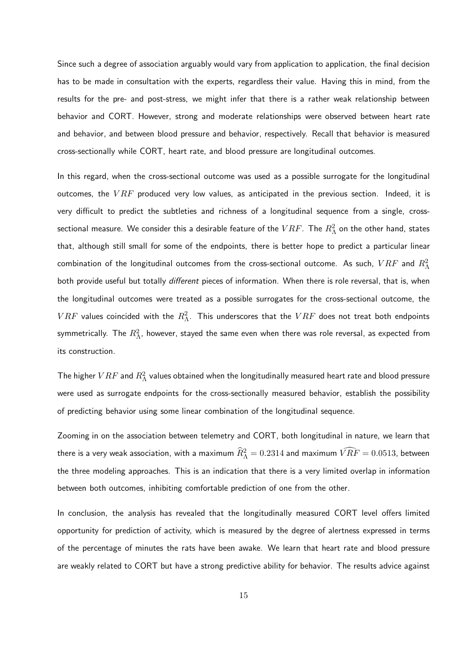Since such a degree of association arguably would vary from application to application, the final decision has to be made in consultation with the experts, regardless their value. Having this in mind, from the results for the pre- and post-stress, we might infer that there is a rather weak relationship between behavior and CORT. However, strong and moderate relationships were observed between heart rate and behavior, and between blood pressure and behavior, respectively. Recall that behavior is measured cross-sectionally while CORT, heart rate, and blood pressure are longitudinal outcomes.

In this regard, when the cross-sectional outcome was used as a possible surrogate for the longitudinal outcomes, the  $VRF$  produced very low values, as anticipated in the previous section. Indeed, it is very difficult to predict the subtleties and richness of a longitudinal sequence from a single, crosssectional measure. We consider this a desirable feature of the  $VRF.$  The  $R_{\Lambda}^2$  on the other hand, states that, although still small for some of the endpoints, there is better hope to predict a particular linear combination of the longitudinal outcomes from the cross-sectional outcome. As such,  $V R F$  and  $R_{\Lambda}^2$ both provide useful but totally different pieces of information. When there is role reversal, that is, when the longitudinal outcomes were treated as a possible surrogates for the cross-sectional outcome, the  $VRF$  values coincided with the  $R_{\Lambda}^2$ . This underscores that the  $VRF$  does not treat both endpoints symmetrically. The  $R_{\Lambda}^2$ , however, stayed the same even when there was role reversal, as expected from its construction.

The higher  $VRF$  and  $R_{\Lambda}^2$  values obtained when the longitudinally measured heart rate and blood pressure were used as surrogate endpoints for the cross-sectionally measured behavior, establish the possibility of predicting behavior using some linear combination of the longitudinal sequence.

Zooming in on the association between telemetry and CORT, both longitudinal in nature, we learn that there is a very weak association, with a maximum  $\widehat R_\Lambda^2=0.2314$  and maximum  $\widehat{VRF}=0.0513$ , between the three modeling approaches. This is an indication that there is a very limited overlap in information between both outcomes, inhibiting comfortable prediction of one from the other.

In conclusion, the analysis has revealed that the longitudinally measured CORT level offers limited opportunity for prediction of activity, which is measured by the degree of alertness expressed in terms of the percentage of minutes the rats have been awake. We learn that heart rate and blood pressure are weakly related to CORT but have a strong predictive ability for behavior. The results advice against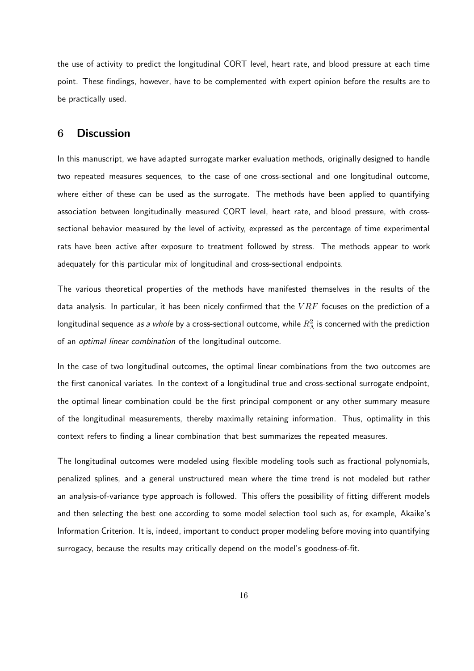the use of activity to predict the longitudinal CORT level, heart rate, and blood pressure at each time point. These findings, however, have to be complemented with expert opinion before the results are to be practically used.

# 6 Discussion

In this manuscript, we have adapted surrogate marker evaluation methods, originally designed to handle two repeated measures sequences, to the case of one cross-sectional and one longitudinal outcome, where either of these can be used as the surrogate. The methods have been applied to quantifying association between longitudinally measured CORT level, heart rate, and blood pressure, with crosssectional behavior measured by the level of activity, expressed as the percentage of time experimental rats have been active after exposure to treatment followed by stress. The methods appear to work adequately for this particular mix of longitudinal and cross-sectional endpoints.

The various theoretical properties of the methods have manifested themselves in the results of the data analysis. In particular, it has been nicely confirmed that the  $VRF$  focuses on the prediction of a longitudinal sequence *as a whole* by a cross-sectional outcome, while  $R_{\Lambda}^2$  is concerned with the prediction of an optimal linear combination of the longitudinal outcome.

In the case of two longitudinal outcomes, the optimal linear combinations from the two outcomes are the first canonical variates. In the context of a longitudinal true and cross-sectional surrogate endpoint, the optimal linear combination could be the first principal component or any other summary measure of the longitudinal measurements, thereby maximally retaining information. Thus, optimality in this context refers to finding a linear combination that best summarizes the repeated measures.

The longitudinal outcomes were modeled using flexible modeling tools such as fractional polynomials, penalized splines, and a general unstructured mean where the time trend is not modeled but rather an analysis-of-variance type approach is followed. This offers the possibility of fitting different models and then selecting the best one according to some model selection tool such as, for example, Akaike's Information Criterion. It is, indeed, important to conduct proper modeling before moving into quantifying surrogacy, because the results may critically depend on the model's goodness-of-fit.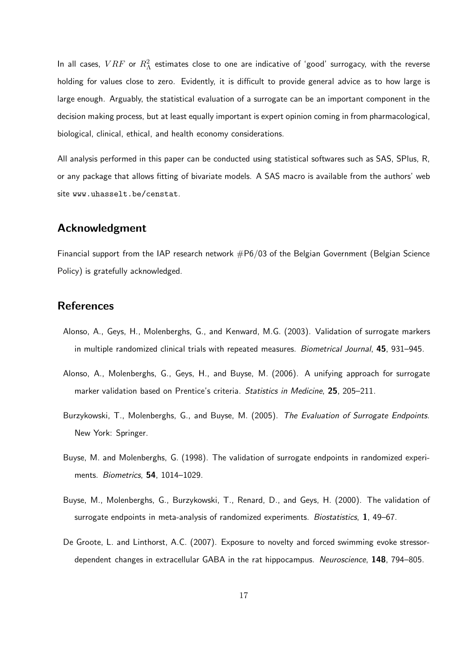In all cases,  $VRF$  or  $R^2_\Lambda$  estimates close to one are indicative of 'good' surrogacy, with the reverse holding for values close to zero. Evidently, it is difficult to provide general advice as to how large is large enough. Arguably, the statistical evaluation of a surrogate can be an important component in the decision making process, but at least equally important is expert opinion coming in from pharmacological, biological, clinical, ethical, and health economy considerations.

All analysis performed in this paper can be conducted using statistical softwares such as SAS, SPlus, R, or any package that allows fitting of bivariate models. A SAS macro is available from the authors' web site www.uhasselt.be/censtat.

## Acknowledgment

Financial support from the IAP research network  $#P6/03$  of the Belgian Government (Belgian Science Policy) is gratefully acknowledged.

# **References**

- Alonso, A., Geys, H., Molenberghs, G., and Kenward, M.G. (2003). Validation of surrogate markers in multiple randomized clinical trials with repeated measures. Biometrical Journal, 45, 931-945.
- Alonso, A., Molenberghs, G., Geys, H., and Buyse, M. (2006). A unifying approach for surrogate marker validation based on Prentice's criteria. Statistics in Medicine, 25, 205-211.
- Burzykowski, T., Molenberghs, G., and Buyse, M. (2005). The Evaluation of Surrogate Endpoints. New York: Springer.
- Buyse, M. and Molenberghs, G. (1998). The validation of surrogate endpoints in randomized experiments. Biometrics, 54, 1014–1029.
- Buyse, M., Molenberghs, G., Burzykowski, T., Renard, D., and Geys, H. (2000). The validation of surrogate endpoints in meta-analysis of randomized experiments. Biostatistics, 1, 49–67.
- De Groote, L. and Linthorst, A.C. (2007). Exposure to novelty and forced swimming evoke stressordependent changes in extracellular GABA in the rat hippocampus. Neuroscience, 148, 794–805.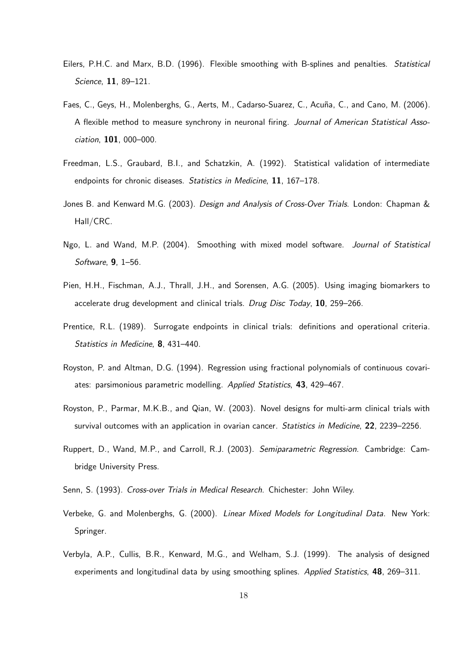- Eilers, P.H.C. and Marx, B.D. (1996). Flexible smoothing with B-splines and penalties. Statistical Science, 11, 89–121.
- Faes, C., Gevs, H., Molenberghs, G., Aerts, M., Cadarso-Suarez, C., Acuña, C., and Cano, M. (2006). A flexible method to measure synchrony in neuronal firing. Journal of American Statistical Association, 101, 000–000.
- Freedman, L.S., Graubard, B.I., and Schatzkin, A. (1992). Statistical validation of intermediate endpoints for chronic diseases. Statistics in Medicine, 11, 167-178.
- Jones B. and Kenward M.G. (2003). Design and Analysis of Cross-Over Trials. London: Chapman & Hall/CRC.
- Ngo, L. and Wand, M.P. (2004). Smoothing with mixed model software. Journal of Statistical Software, 9, 1–56.
- Pien, H.H., Fischman, A.J., Thrall, J.H., and Sorensen, A.G. (2005). Using imaging biomarkers to accelerate drug development and clinical trials. Drug Disc Today, 10, 259-266.
- Prentice, R.L. (1989). Surrogate endpoints in clinical trials: definitions and operational criteria. Statistics in Medicine, 8, 431-440.
- Royston, P. and Altman, D.G. (1994). Regression using fractional polynomials of continuous covariates: parsimonious parametric modelling. Applied Statistics, 43, 429–467.
- Royston, P., Parmar, M.K.B., and Qian, W. (2003). Novel designs for multi-arm clinical trials with survival outcomes with an application in ovarian cancer. Statistics in Medicine, 22, 2239-2256.
- Ruppert, D., Wand, M.P., and Carroll, R.J. (2003). Semiparametric Regression. Cambridge: Cambridge University Press.
- Senn, S. (1993). Cross-over Trials in Medical Research. Chichester: John Wiley.
- Verbeke, G. and Molenberghs, G. (2000). Linear Mixed Models for Longitudinal Data. New York: Springer.
- Verbyla, A.P., Cullis, B.R., Kenward, M.G., and Welham, S.J. (1999). The analysis of designed experiments and longitudinal data by using smoothing splines. Applied Statistics, 48, 269–311.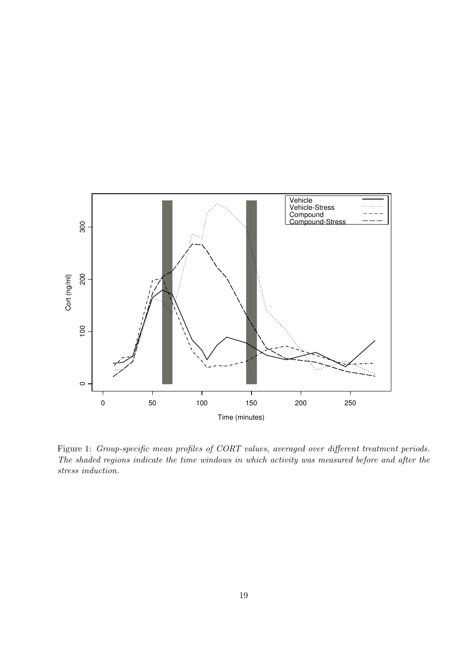

Figure 1: Group-specific mean profiles of CORT values, averaged over different treatment periods. The shaded regions indicate the time windows in which activity was measured before and after the stress induction.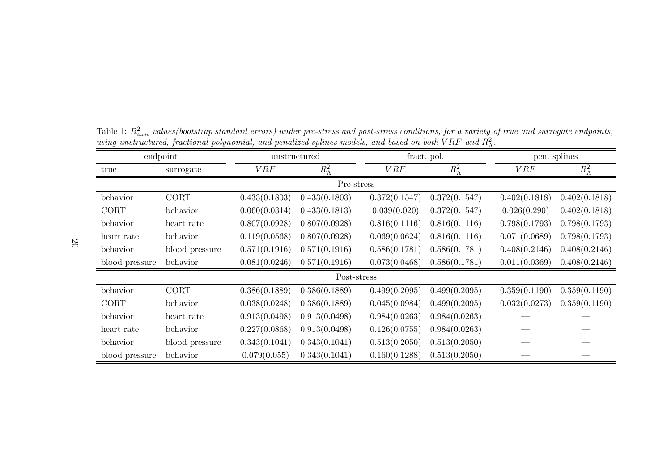| endpoint          |                | unstructured  |               | fract. pol.   |               | pen. splines  |               |  |  |  |  |
|-------------------|----------------|---------------|---------------|---------------|---------------|---------------|---------------|--|--|--|--|
| true              | surrogate      | <b>VRF</b>    | $R_\Lambda^2$ | VRF           | $R_\Lambda^2$ | VRF           | $R_\Lambda^2$ |  |  |  |  |
| Pre-stress        |                |               |               |               |               |               |               |  |  |  |  |
| behavior          | <b>CORT</b>    | 0.433(0.1803) | 0.433(0.1803) | 0.372(0.1547) | 0.372(0.1547) | 0.402(0.1818) | 0.402(0.1818) |  |  |  |  |
| <b>CORT</b>       | behavior       | 0.060(0.0314) | 0.433(0.1813) | 0.039(0.020)  | 0.372(0.1547) | 0.026(0.290)  | 0.402(0.1818) |  |  |  |  |
| behavior          | heart rate     | 0.807(0.0928) | 0.807(0.0928) | 0.816(0.1116) | 0.816(0.1116) | 0.798(0.1793) | 0.798(0.1793) |  |  |  |  |
| heart rate        | behavior       | 0.119(0.0568) | 0.807(0.0928) | 0.069(0.0624) | 0.816(0.1116) | 0.071(0.0689) | 0.798(0.1793) |  |  |  |  |
| behavior          | blood pressure | 0.571(0.1916) | 0.571(0.1916) | 0.586(0.1781) | 0.586(0.1781) | 0.408(0.2146) | 0.408(0.2146) |  |  |  |  |
| blood pressure    | behavior       | 0.081(0.0246) | 0.571(0.1916) | 0.073(0.0468) | 0.586(0.1781) | 0.011(0.0369) | 0.408(0.2146) |  |  |  |  |
| Post-stress       |                |               |               |               |               |               |               |  |  |  |  |
| behavior          | <b>CORT</b>    | 0.386(0.1889) | 0.386(0.1889) | 0.499(0.2095) | 0.499(0.2095) | 0.359(0.1190) | 0.359(0.1190) |  |  |  |  |
| <b>CORT</b>       | behavior       | 0.038(0.0248) | 0.386(0.1889) | 0.045(0.0984) | 0.499(0.2095) | 0.032(0.0273) | 0.359(0.1190) |  |  |  |  |
| behavior          | heart rate     | 0.913(0.0498) | 0.913(0.0498) | 0.984(0.0263) | 0.984(0.0263) |               |               |  |  |  |  |
| heart rate        | behavior       | 0.227(0.0868) | 0.913(0.0498) | 0.126(0.0755) | 0.984(0.0263) |               |               |  |  |  |  |
| behavior          | blood pressure | 0.343(0.1041) | 0.343(0.1041) | 0.513(0.2050) | 0.513(0.2050) |               |               |  |  |  |  |
| $b$ lood pressure | behavior       | 0.079(0.055)  | 0.343(0.1041) | 0.160(0.1288) | 0.513(0.2050) |               |               |  |  |  |  |

 $\text{Table 1: } R^2_{\textit{indiv}}$  values(bootstrap standard errors) under pre-stress and post-stress conditions, for a variety of true and surrogate endpoints, using unstructured, fractional polynomial, and penalized splines models, and based on both  $V R$ F and  $R^2_\Lambda$ .